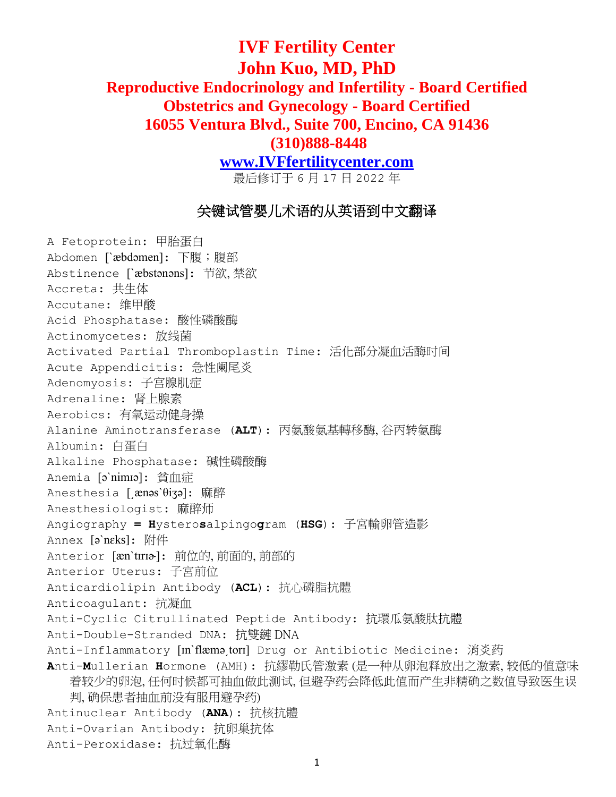## **IVF Fertility Center John Kuo, MD, PhD Reproductive Endocrinology and Infertility - Board Certified Obstetrics and Gynecology - Board Certified 16055 Ventura Blvd., Suite 700, Encino, CA 91436 (310)888-8448**

**[www.IVFfertilitycenter.com](http://www.ivffertilitycenter.com/)**

最后修订于 6 月 17 日 2022 年

## 关键试管婴儿术语的从英语到中文翻译

A Fetoprotein: 甲胎蛋白 Abdomen [`æbdəmen]: 下腹;腹部 Abstinence [ˋæbstənəns]: 节欲, 禁欲 Accreta: 共生体 Accutane: 维甲酸 Acid Phosphatase: 酸性磷酸酶 Actinomycetes: 放线菌 Activated Partial Thromboplastin Time: 活化部分凝血活酶时间 Acute Appendicitis: 急性阑尾炎 Adenomyosis: 子宫腺肌症 Adrenaline: 肾上腺素 Aerobics: 有氧运动健身操 Alanine Aminotransferase (**ALT**): 丙氨酸氨基轉移酶, 谷丙转氨酶 Albumin: 白蛋白 Alkaline Phosphatase: 碱性磷酸酶 Anemia [əˋnimɪə]: 貧血症 Anesthesia [ænəs<sup>'θi</sup>ʒə]: 麻醉 Anesthesiologist: 麻醉师 Angiography **= H**ystero**s**alpingo**g**ram (**HSG**): 子宮輸卵管造影 Annex [əˋnɛks]: 附件 Anterior [æn'tɪrɪa]: 前位的, 前面的, 前部的 Anterior Uterus: 子宮前位 Anticardiolipin Antibody (**ACL**): 抗心磷脂抗體 Anticoagulant: 抗凝血 Anti-Cyclic Citrullinated Peptide Antibody: 抗環瓜氨酸肽抗體 Anti-Double-Stranded DNA: 抗雙鏈 DNA Anti-Inflammatory [In`flæmətori] Drug or Antibiotic Medicine: 消炎药 **A**nti-**M**ullerian **H**ormone (AMH): 抗繆勒氏管激素 (是一种从卵泡释放出之激素, 较低的值意味 着较少的卵泡, 任何时候都可抽血做此测试, 但避孕药会降低此值而产生非精确之数值导致医生误 判, 确保患者抽血前没有服用避孕药) Antinuclear Antibody (**ANA**): 抗核抗體 Anti-Ovarian Antibody: 抗卵巢抗体 Anti-Peroxidase: 抗过氧化酶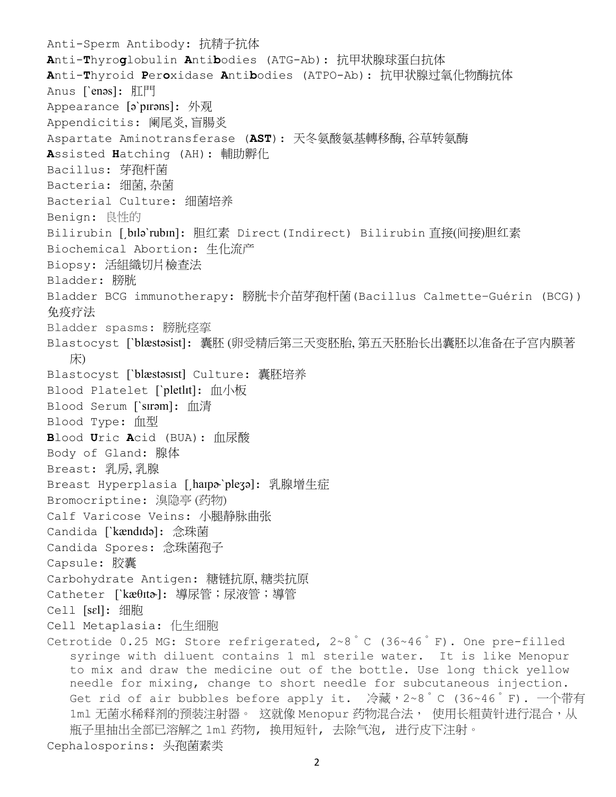Anti-Sperm Antibody: 抗精子抗体 **A**nti-**T**hyro**g**lobulin **A**nti**b**odies (ATG-Ab): 抗甲状腺球蛋白抗体 **A**nti-**T**hyroid **P**er**o**xidase **A**nti**b**odies (ATPO-Ab): 抗甲状腺过氧化物酶抗体 Anus [ˋenəs]: 肛門 Appearance [əˋpɪrəns]: 外观 Appendicitis: 阑尾炎, 盲腸炎 Aspartate Aminotransferase (**AST**): 天冬氨酸氨基轉移酶, 谷草转氨酶 **A**ssisted **H**atching (AH): 輔助孵化 Bacillus: 芽孢杆菌 Bacteria: 细菌, 杂菌 Bacterial Culture: 细菌培养 Benign: 良性的 Bilirubin [bɪlə`rubɪn]: 胆红素 Direct(Indirect) Bilirubin 直接(间接)胆红素 Biochemical Abortion: 生化流产 Biopsy: 活組織切片檢查法 Bladder: 膀胱 Bladder BCG immunotherapy: 膀胱卡介苗芽孢杆菌(Bacillus Calmette–Guérin (BCG)) 免疫疗法 Bladder spasms: 膀胱痉挛 Blastocyst [ˋblæstəsist]: 囊胚 (卵受精后第三天变胚胎, 第五天胚胎长出囊胚以准备在子宫内膜著 床) Blastocyst [ˋblæstəsɪst] Culture: 囊胚培养 Blood Platelet [ˋpletlɪt]: 血小板 Blood Serum [ˋsɪrəm]: 血清 Blood Type: 血型 **B**lood **U**ric **A**cid (BUA): 血尿酸 Body of Gland: 腺体 Breast: 乳房, 乳腺 Breast Hyperplasia [hanpa`pleʒə]: 乳腺增生症 Bromocriptine: 溴隐亭 (药物) Calf Varicose Veins: 小腿静脉曲张 Candida [ˋkændɪdə]: 念珠菌 Candida Spores: 念珠菌孢子 Capsule: 胶囊 Carbohydrate Antigen: 糖链抗原, 糖类抗原 Catheter [`kæθɪtծ]: 導尿管;尿液管;導管 Cell [sɛl]: 细胞 Cell Metaplasia: 化生细胞 Cetrotide 0.25 MG: Store refrigerated,  $2 \times 8$  °C (36~46 °F). One pre-filled syringe with diluent contains 1 ml sterile water. It is like Menopur to mix and draw the medicine out of the bottle. Use long thick yellow needle for mixing, change to short needle for subcutaneous injection. Get rid of air bubbles before apply it. 冷藏, 2~8°C (36~46°F). 一个带有 1ml 无菌水稀释剂的预装注射器。 这就像 Menopur 药物混合法, 使用长粗黄针进行混合,从 瓶子里抽出全部已溶解之 1ml 药物, 换用短针, 去除气泡, 进行皮下注射。

Cephalosporins: 头孢菌素类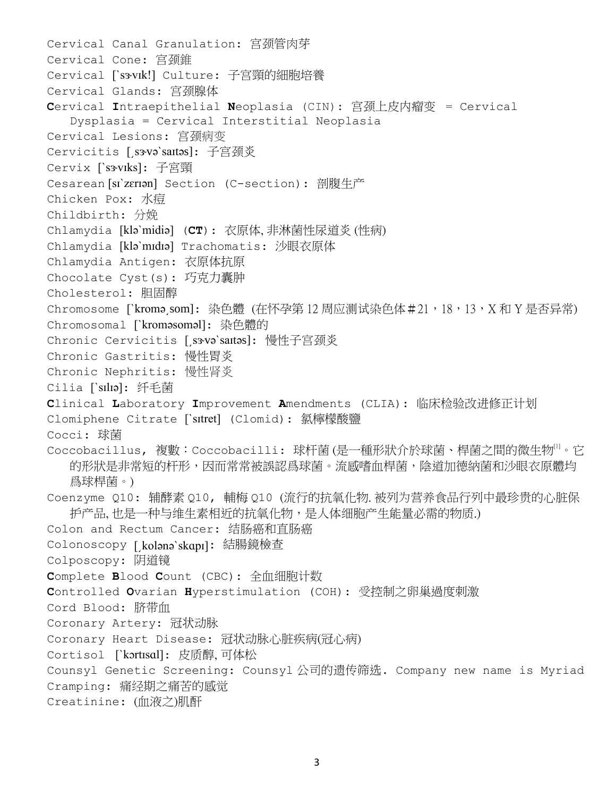```
Cervical Canal Granulation: 宫颈管肉芽
Cervical Cone: 宫颈錐
Cervical [`s3vIk!] Culture: 子宫頸的細胞培養
Cervical Glands: 宫颈腺体
Cervical Intraepithelial Neoplasia (CIN): 宫颈上皮内瘤变 = Cervical 
  Dysplasia = Cervical Interstitial Neoplasia
Cervical Lesions: 宫颈病变
Cervicitis [sxvə`saɪtəs]: 子宫颈炎
Cervix [`s3vIks]: 子宮頸
Cesarean [sɪˋzɛrɪən] Section (C-section): 剖腹生产
Chicken Pox: 水痘
Childbirth: 分娩
Chlamydia [kləˋmidiə] (CT): 衣原体, 非淋菌性尿道炎 (性病)
Chlamydia [kləˋmɪdɪə] Trachomatis: 沙眼衣原体
Chlamydia Antigen: 衣原体抗原
Chocolate Cyst(s): 巧克力囊肿
Cholesterol: 胆固醇
Chromosome [`kroməˌsom]: 染色體 (在怀孕第12周应测试染色体#21,18,13,X和 Y 是否异常)
Chromosomal [ˋkroməsoməl]: 染色體的
Chronic Cervicitis [ˌsəvə`saɪtəs]: 慢性子宫颈炎
Chronic Gastritis: 慢性胃炎
Chronic Nephritis: 慢性肾炎
Cilia [ˋsɪlɪə]: 纤毛菌
Clinical Laboratory Improvement Amendments (CLIA): 临床检验改进修正计划
Clomiphene Citrate [ˋsɪtret] (Clomid): 氯檸檬酸鹽
Cocci: 球菌
於球菌、桿菌之的微生物[1]</sup>。它
  。流感嗜血桿菌,陰道加德納菌和沙眼衣原體均
  爲球桿菌。)
Coenzyme Q10: 辅酵素 Q10, 輔梅 Q10 (流行的抗氧化物. 被列为营养食品行列中最珍贵的心脏保
  护产品, 也是一种与维生素相近的抗氧化物,是人体细胞产生能量必需的物质.)
Colon and Rectum Cancer: 结肠癌和直肠癌
Colonoscopy [͵kolənəˋskɑpɪ]: 結腸鏡檢查
Colposcopy: 阴道镜
Complete Blood Count (CBC): 全血细胞计数
Controlled Ovarian Hyperstimulation (COH): 受控制之卵巢過度刺激
Cord Blood: 脐带血
Coronary Artery: 冠状动脉
Coronary Heart Disease: 冠状动脉心脏疾病(冠心病)
Cortisol [ˋkɔrtɪsɑl]: 皮质醇, 可体松
Counsyl Genetic Screening: Counsyl 公司的遗传筛选. Company new name is Myriad
Cramping: 痛经期之痛苦的感觉
Creatinine: (血液之)肌酐
```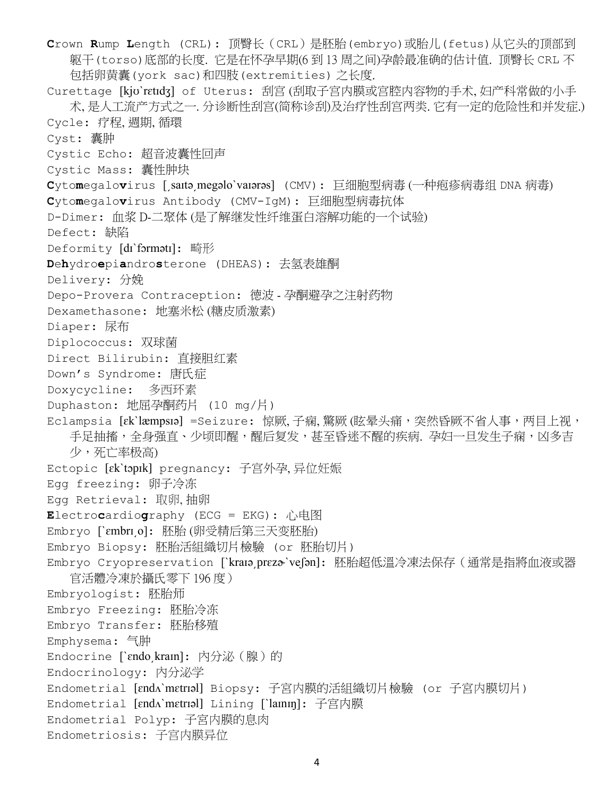**C**rown **R**ump **L**ength (CRL): 顶臀长(CRL)是胚胎(embryo)或胎儿(fetus)从它头的顶部到 躯干(torso)底部的长度. 它是在怀孕早期(6 到 13 周之间)孕龄最准确的估计值. 顶臀长 CRL 不 包括卵黄囊(york sac)和四肢(extremities) 之长度. Curettage [kjʊˋrɛtɪdʒ] of Uterus: 刮宫 (刮取子宫内膜或宫腔内容物的手术, 妇产科常做的小手 术, 是人工流产方式之一. 分诊断性刮宫(简称诊刮)及治疗性刮宫两类. 它有一定的危险性和并发症.) Cycle: 疗程, 週期, 循環 Cyst: 囊肿 Cystic Echo: 超音波囊性回声 Cystic Mass: 囊性肿块 **C**yto**m**egalo**v**irus [͵saɪtə͵megəloˋvaɪərəs] (CMV): 巨细胞型病毒 (一[种疱疹病毒组](http://hanyu.iciba.com/hy/%E7%96%B1%E7%96%B9%E7%97%85%E6%AF%92) DNA 病毒) **C**yto**m**egalo**v**irus Antibody (CMV-IgM): 巨细胞型病毒抗体 D-Dimer: 血浆 D-二聚体 (是了解继发性纤维蛋白溶解功能的一个试验) Defect: 缺陷 Deformity [di`formətɪ]: 畸形 **D**e**h**ydro**e**pi**a**ndro**s**terone (DHEAS): 去氢表雄酮 Delivery: 分娩 Depo-Provera Contraception: 德波 - 孕酮避孕之注射药物 Dexamethasone: 地塞米松 (糖皮质激素) Diaper: 尿布 Diplococcus: 双球菌 Direct Bilirubin: 直接胆红素 Down's Syndrome: 唐氏症 Doxycycline: 多西环素 Duphaston: 地屈孕酮药片 (10 mg/片) Eclampsia [ɛkˋlæmpsɪə] =Seizure: 惊厥,子痫,驚厥(眩晕头痛,突然昏厥不省人事,两目上视, 手足抽搐,全身强直、少顷即醒,醒后复发,甚至昏迷不醒的疾病. 孕妇一旦发生子痫,凶多吉 少,死亡率极高) Ectopic [ɛkˋtɔpɪk] pregnancy: 子宫外孕, 异位妊娠 Egg freezing: 卵子冷冻 Egg Retrieval: 取卵, 抽卵 **E**lectro**c**ardio**g**raphy (ECG = EKG): 心电图 Embryo [ˋɛmbrɪ͵o]: 胚胎 (卵受精后第三天变胚胎) Embryo Biopsy: 胚胎活組織切片檢驗 (or 胚胎切片) Embryo Cryopreservation [`kraɪəˌprɛzծ`veʃən]: 胚胎超低溫冷凍法保存(通常是指將血液或器 官活體冷凍於攝氏零下 196 度) Embryologist: 胚胎师 Embryo Freezing: 胚胎冷冻 Embryo Transfer: 胚胎移殖 Emphysema: 气肿 Endocrine [`ɛndo kraɪn]: 内分泌 (腺)的 Endocrinology: 內分泌学 Endometrial [ɛndʌˋmɛtrɪəl] Biopsy: 子宮内膜的活組織切片檢驗 (or 子宮内膜切片) Endometrial [ɛndʌˋmɛtrɪəl] Lining [ˋlaɪnɪŋ]: 子宫内膜 Endometrial Polyp: 子宮内膜的息肉 Endometriosis: 子宫内膜异位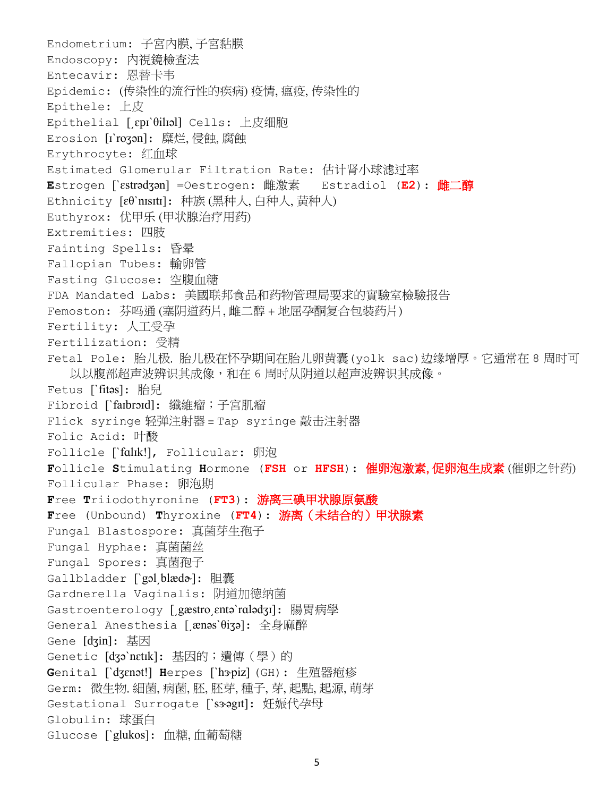Endometrium: 子宮內膜, 子宮黏膜 Endoscopy: 內視鏡檢查法 Entecavir: 恩替卡韦 Epidemic: (传染性的流行性的疾病) 疫情, 瘟疫, 传染性的 Epithele: 上皮 Epithelial [͵ɛpɪˋθilɪəl] Cells: 上皮细胞 Erosion [ɪˋroʒən]: 糜烂, 侵蝕, 腐蝕 Erythrocyte: 红血球 Estimated Glomerular Filtration Rate: 估计肾小球滤过率 **E**strogen [ˋɛstrədʒən] =Oestrogen: 雌激素 Estradiol (**E2**): 雌二醇 Ethnicity [ɛθˋnɪsɪtɪ]: 种族 (黑种人, 白种人, 黄种人) Euthyrox: 优甲乐 (甲状腺治疗用药) Extremities: 四肢 Fainting Spells: 昏晕 Fallopian Tubes: 輸卵管 Fasting Glucose: 空腹血糖 FDA Mandated Labs: 美國联邦食品和药物管理局要求的實驗室檢驗报告 Femoston: 芬吗通 (塞阴道药片, 雌二醇 + 地屈孕酮复合包装药片) Fertility: 人工受孕 Fertilization: 受精 Fetal Pole: 胎儿极. 胎儿极在怀孕期间在胎儿卵黄囊(yolk sac)边缘增厚。它通常在 8 周时可 以以腹部超声波辨识其成像,和在 6 周时从阴道以超声波辨识其成像。 Fetus [`fitəs]: 胎兒 Fibroid [`faɪbrɔɪd]: 纖維瘤;子宮肌瘤 Flick syringe 轻弹注射器 = Tap syringe 敲击注射器 Folic Acid: 叶酸 Follicle [`falik!], Follicular: 卵泡 **F**ollicle **S**timulating **H**ormone (**FSH** or **HFSH**): 催卵泡激素, 促卵泡生成素 (催卵之针药) Follicular Phase: 卵泡期 **F**ree **T**riiodothyronine (**FT3**): 游离三碘甲状腺原氨酸 **F**ree (Unbound) **T**hyroxine (**FT4**): 游离(未结合的)甲状腺素 Fungal Blastospore: 真菌芽生孢子 Fungal Hyphae: 真菌菌丝 Fungal Spores: 真菌孢子 Gallbladder [ˋgɔl͵blædɚ]: 胆囊 Gardnerella Vaginalis: 阴道加德纳菌 Gastroenterology [ gæstro entə`rɑlədʒɪ]: 腸胃病學 General Anesthesia [͵ænəsˋθiʒə]: 全身麻醉 Gene [dʒin]: 基因 Genetic [dʒə`nɛtɪk]: 基因的;遺傳(學)的 Genital [`dʒɛnət!] Herpes [`hɜpiz] (GH): 生殖器疱疹 Germ: 微生物. 細菌, 病菌, 胚, 胚芽, 種子, 芽, 起點, 起源, 萌芽 Gestational Surrogate [`s3ogIt]: 妊娠代孕母 Globulin: 球蛋白 Glucose [ˋglukos]: 血糖, 血葡萄糖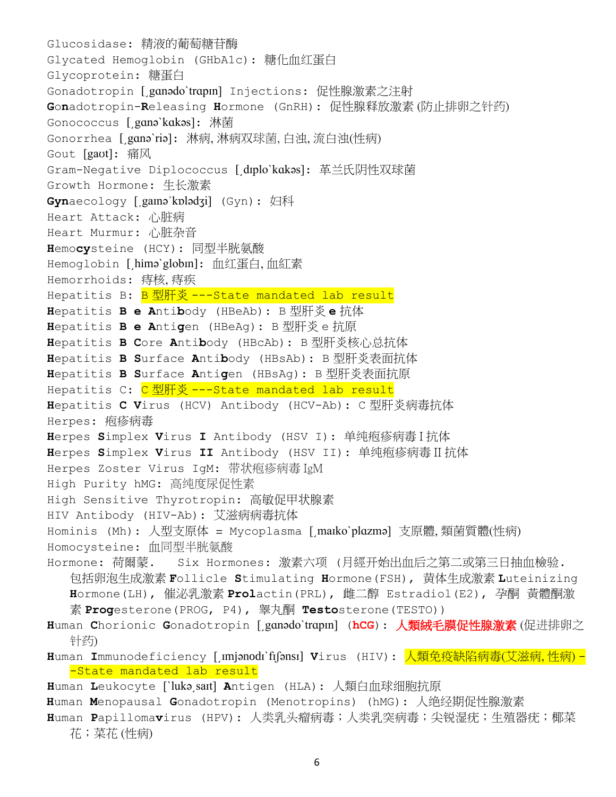Glucosidase: 精液的葡萄糖苷酶 Glycated Hemoglobin (GHbA1c): 糖化血红蛋白 Glycoprotein: 糖蛋白 Gonadotropin [͵gɑnədoˋtrɑpɪn] Injections: 促性腺激素之注射 **G**o**n**adotropin-**R**eleasing **H**ormone (GnRH): 促性腺释放激素 (防止排卵之针药) Gonococcus [͵gɑnəˋkɑkəs]: 淋菌 Gonorrhea [͵gɑnəˋriə]: 淋病, 淋病双球菌, 白浊, 流白浊(性病) Gout [gaʊt]: 痛风 Gram-Negative Diplococcus [drplo`kakəs]: 革兰氏阴性双球菌 Growth Hormone: 生长激素 **Gyn**aecology [ˌgaɪnəˈkɒlədʒi] (Gyn): 妇科 Heart Attack: 心脏病 Heart Murmur: 心脏杂音 **H**emo**cy**steine (HCY): 同型半胱氨酸 Hemoglobin [himə`globɪn]: 血红蛋白,血紅素 Hemorrhoids: 痔核, 痔疾 Hepatitis B: B型肝炎---State mandated lab result **H**epatitis **B e A**nti**b**ody (HBeAb): B 型肝炎 **e** 抗体 **H**epatitis **B e A**nti**g**en (HBeAg): B 型肝炎 e 抗原 **H**epatitis **B C**ore **A**nti**b**ody (HBcAb): B 型肝炎核心总抗体 **H**epatitis **B S**urface **A**nti**b**ody (HBsAb): B 型肝炎表面抗体 **H**epatitis **B S**urface **A**nti**g**en (HBsAg): B 型肝炎表面抗原 Hepatitis C: C型肝炎---State mandated lab result **H**epatitis **C V**irus (HCV) Antibody (HCV-Ab): C 型肝炎病毒抗体 Herpes: [疱疹病毒](http://hanyu.iciba.com/hy/%E7%96%B1%E7%96%B9%E7%97%85%E6%AF%92) **H**erpes **S**implex **V**irus **I** Antibody (HSV I): 单纯疱疹病毒 I 抗体 **H**erpes **S**implex **V**irus **II** Antibody (HSV II): 单纯疱疹病毒 II 抗体 Herpes Zoster Virus IgM: 带状疱疹病毒 IgM High Purity hMG: 高纯度尿促性素 High Sensitive Thyrotropin: 高敏促甲状腺素 HIV Antibody (HIV-Ab): 艾滋病病毒抗体 Hominis (Mh): 人型支原体 = Mycoplasma [͵maɪkoˋplɑzmə] 支原體, 類菌質體(性病) Homocysteine: 血同型半胱氨酸 Hormone: 荷爾蒙. Six Hormones: 激素六项 (月經开始出血后之第二或第三日抽血檢验. 包括卵泡生成激素 **F**ollicle **S**timulating **H**ormone(FSH), 黄体生成激素 **L**uteinizing **H**ormone(LH), 催泌乳激素 **Prol**actin(PRL), [雌二醇](http://baike.baidu.com/view/203083.htm) Estradiol(E2), 孕酮 黃體酮激 素 **Prog**esterone(PROG, P4), [睾丸酮](http://baike.baidu.com/view/672615.htm) **Testo**sterone(TESTO)) **H**uman **C**horionic **G**onadotropin [͵gɑnədoˋtrɑpɪn] (**hCG**): 人類絨毛膜促性腺激素 (促进排卵之 针药) **H**uman **I**mmunodeficiency [͵ɪmjənodɪˋfɪʃənsɪ] **V**irus (HIV): 人類免疫缺陷病毒(艾滋病, 性病) - -State mandated lab result **H**uman **L**eukocyte [ˋlukə͵saɪt] **A**ntigen (HLA): 人類白血球细胞抗原 **H**uman **M**enopausal **G**[onadotropin](http://medical-dictionary.thefreedictionary.com/human+menopausal+gonadotropin) [\(Menotropins\)](http://medical-dictionary.thefreedictionary.com/menotropins) (hMG): 人绝经期促性腺激素

**H**uman **P**[apilloma](https://www.google.com/aclk?sa=l&ai=ChQEMS-JqVpzKHtD0hASympTgA9u1zaIHy4f1pqoC48ncoAgIABABYMn28YbIo6AZoAGR2ef8A8gBAaoEJ0_QyhQJ0TywaBOImuaaIcQF_LUjvoUzysroGERwdfr42o95hj0zwboFEwjE7O3bhtTJAhVFPiYKHaG0CrvKBQCAB9emmAOQBwGoB6a-G9gHAQ&ei=S-JqVoSbGsX8mAGh6arYCw&sig=AOD64_1tqT1r92D-fIKZ7hDVLGugpNglLg&q=&sqi=2&ved=0ahUKEwjE7O3bhtTJAhVFPiYKHaG0CrsQ0QwIGg&adurl=http://ad.atdmt.com/s/go%3Fadv%3D11007200782909%26c.a%3D4_933-640-1945_336412723%26p.a%3D11007200782909-4_933-640-1945_336412723%26as.a%3D4_933-640-1945_336412723_21243542203%26a.a%3D79904358643%26bidkw%3Dhpv%2520protection%26bidmt%3Db%26ntwk%3Dg%26dvc%3Dc%26mdl%3D%26adpos%3D1t1%26qpb%3D1%26pnt1%3DsP5TfhLUH%26pnt2%3D474t9f1741%26pnt3%3D%26h%3Dhttp://www.gardasil.com/about-gardasil/about-gardasil/%253FWT.mc_id%253DGL0ES%2526utm_source%253Dgoogle%2526utm_medium%253Dcpc%2526utm_term%253Dhpv%2520protection%2526utm_campaign%253DPrevention%2BHPV%2B2015%2526utm_content%253DsP5TfhLUH%257Cdc_pcrid_79904358643)**v**irus (HPV): 人类乳头瘤病毒;人类乳突病毒;尖锐湿疣;生殖器疣;椰菜 花;菜花 (性病)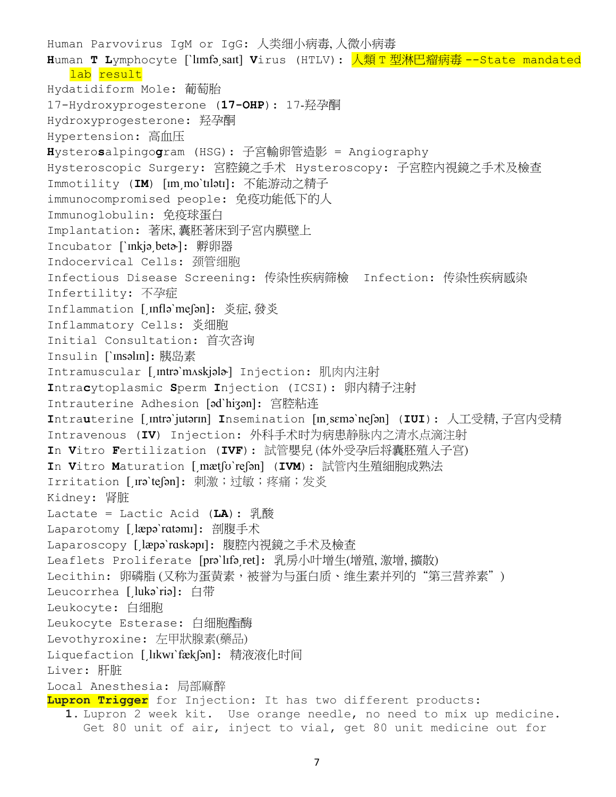Human Parvovirus IgM or IgG: 人类细小病毒, 人微小病毒 **H**uman **T L**ymphocyte [ˋlɪmfə͵saɪt] **V**irus (HTLV): 人類 T 型淋巴瘤病毒 --State mandated lab result Hydatidiform Mole: 葡萄胎 17-Hydroxyprogesterone (**17-OHP**): 17-羟孕酮 Hydroxyprogesterone: 羟孕酮 Hypertension: 高血压 **H**ystero**s**alpingo**g**ram (HSG): 子宮輸卵管造影 = Angiography Hysteroscopic Surgery: 宮腔鏡之手术 Hysteroscopy: 子宮腔內視鏡之手术及檢查 Immotility (**IM**) [ɪm͵moˋtɪlətɪ]: 不能游动之精子 immunocompromised people: 免疫功能低下的人 Immunoglobulin: 免疫球蛋白 Implantation: 著床, 囊胚著床到子宮内膜壁上 Incubator [ˋɪnkjə͵betɚ]: 孵卵器 Indocervical Cells: 颈管细胞 Infectious Disease Screening: 传染性疾病筛檢 Infection: 传染性疾病感染 Infertility: 不孕症 Inflammation [ Infla`me[an]: 炎症,發炎 Inflammatory Cells: 炎细胞 Initial Consultation: 首次咨询 Insulin [ˋɪnsəlɪn]: 胰岛素 Intramuscular [ Intra'mAskjala-] Injection: 肌肉内注射 **I**ntra**c**ytoplasmic **S**perm **I**njection (ICSI): 卵内精子注射 Intrauterine Adhesion [ədˋhiʒən]: 宫腔粘连 **I**ntra**u**terine [͵ɪntrəˋjutərɪn] **I**nsemination [ɪn͵sɛməˋneʃən] (**IUI**): 人工受精, 子宫内受精 Intravenous (**IV**) Injection: 外科手术时为病患静脉内之清水点滴注射 **I**n **V**itro **F**ertilization (**IVF**): 試管嬰兒 (体外受孕后将囊胚殖入子宫) **I**n **V**itro **M**aturation [͵mætʃʊˋreʃən] (**IVM**): 試管內生殖細胞成熟法 Irritation [Ira`te[an]: 刺激;过敏;疼痛;发炎 Kidney: 肾脏 Lactate = Lactic Acid (**LA**): 乳酸 Laparotomy [læpə`rɑtəmɪ]: 剖腹手术 Laparoscopy [læpə`rɑskəpɪ]: 腹腔内視鏡之手术及檢查 Leaflets Proliferate [prə`lɪfəˌret]: 乳房小叶增生(增殖,激增,擴散) Lecithin: 卵磷脂(又称为蛋黄素,被誉为与蛋白质、维生素并列的"第三营养素") Leucorrhea [lukə`riə]: 白带 Leukocyte: 白细胞 Leukocyte Esterase: 白细胞酯酶 Levothyroxine: 左甲狀腺素(藥品) Liquefaction [lIkwi'fækfan]: 精液液化时间 Liver: 肝脏 Local Anesthesia: 局部麻醉 **Lupron Trigger** for Injection: It has two different products: **1.** Lupron 2 week kit. Use orange needle, no need to mix up medicine. Get 80 unit of air, inject to vial, get 80 unit medicine out for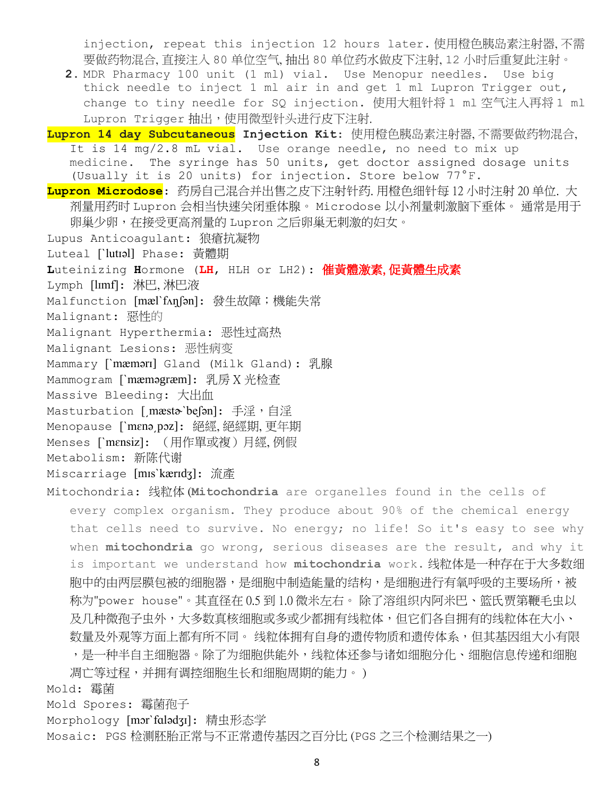injection, repeat this injection 12 hours later. 使用橙色胰岛素注射器, 不需 要做药物混合, 直接注入 80 单位空气, 抽出 80 单位药水做皮下注射, 12 小时后重复此注射。

**2.** MDR Pharmacy 100 unit (1 ml) vial. Use Menopur needles. Use big thick needle to inject 1 ml air in and get 1 ml Lupron Trigger out, change to tiny needle for SQ injection. 使用大粗针将 1 ml 空气注入再将 1 ml Lupron Trigger 抽出,使用微型针头进行皮下注射.

**Lupron 14 day Subcutaneous Injection Kit**: 使用橙色胰岛素注射器, 不需要做药物混合, It is 14 mg/2.8 mL vial. Use orange needle, no need to mix up medicine. The syringe has 50 units, get doctor assigned dosage units (Usually it is 20 units) for injection. Store below 77°F.

**Lupron Microdose**: 药房自己混合并出售之皮下注射针药. 用橙色细针每 12 小时注射 20 单位. 大 剂量用药时 Lupron 会相当快速关闭垂体腺。 Microdose 以小剂量刺激脑下垂体。 通常是用于 卵巢少卵,在接受更高剂量的 Lupron 之后卵巢无刺激的妇女。

Lupus Anticoagulant: 狼瘡抗凝物

Luteal [`lutial] Phase: 黃體期

**L**uteinizing **H**ormone (**LH**, HLH or LH2): 催黃體激素, 促黃體生成素

Lymph [lɪmf]: 淋巴,淋巴液

Malfunction [mæl`fʌnุ[on]: 發生故障;機能失常

Malignant: 惡性的

```
Malignant Hyperthermia: 恶性过高热
```
Malignant Lesions: 恶性病变

Mammary [ˋmæmərɪ] Gland (Milk Gland): 乳腺

Mammogram [`**mæməgræm]:** 乳房 X 光检查

Massive Bleeding: 大出血

Masturbation [mæsta`befan]: 手淫,自淫

Menopause [ˋmɛnə͵pɔz]: 絕經, 絕經期, 更年期

Menses [ˋmɛnsiz]: (用作單或複)月經, 例假

Metabolism: 新陈代谢

Miscarriage [mɪsˋkærɪdʒ]: 流產

Mitochondria: 线粒体 (**Mitochondria** are organelles found in the cells of every complex organism. They produce about 90% of the chemical energy that cells need to survive. No energy; no life! So it's easy to see why when **mitochondria** go wrong, serious diseases are the result, and why it is important we understand how **mitochondria** work. 线粒体是一种存在于大多数细 胞中的由两层膜包被[的细胞器,](https://baike.baidu.com/item/%E7%BB%86%E8%83%9E%E5%99%A8)是细胞中制造能量的结构,是细胞进[行有氧呼吸的](https://baike.baidu.com/item/%E6%9C%89%E6%B0%A7%E5%91%BC%E5%90%B8)主要场所,被 称为"power house"。其直径在 0.5 到 1.0 微米左右。 除[了溶组织内阿米巴](https://baike.baidu.com/item/%E6%BA%B6%E7%BB%84%E7%BB%87%E5%86%85%E9%98%BF%E7%B1%B3%E5%B7%B4)[、篮氏贾第鞭毛虫以](https://baike.baidu.com/item/%E7%AF%AE%E6%B0%8F%E8%B4%BE%E7%AC%AC%E9%9E%AD%E6%AF%9B%E8%99%AB) 及几[种微孢子虫外](https://baike.baidu.com/item/%E5%BE%AE%E5%AD%A2%E5%AD%90%E8%99%AB),大多数真核细胞或多或少都拥有线粒体,但它们各自拥有的线粒体在大小、 数量及外观等方面上都有所不同。 线粒体拥有自身[的遗传物质和](https://baike.baidu.com/item/%E9%81%97%E4%BC%A0%E7%89%A9%E8%B4%A8)遗传体系,但[其基因组大](https://baike.baidu.com/item/%E5%9F%BA%E5%9B%A0%E7%BB%84)小有限 ,是一种半自主细胞器。除了为细胞供能外,线粒体还参与诸[如细胞分化、](https://baike.baidu.com/item/%E7%BB%86%E8%83%9E%E5%88%86%E5%8C%96)细胞信息传递[和细胞](https://baike.baidu.com/item/%E7%BB%86%E8%83%9E%E5%87%8B%E4%BA%A1)

[凋亡等](https://baike.baidu.com/item/%E7%BB%86%E8%83%9E%E5%87%8B%E4%BA%A1)过程,并拥有调[控细胞生长和](https://baike.baidu.com/item/%E7%BB%86%E8%83%9E%E7%94%9F%E9%95%BF)[细胞周期的](https://baike.baidu.com/item/%E7%BB%86%E8%83%9E%E5%91%A8%E6%9C%9F)能力。 )

Mold: 霉菌

Mold Spores: 霉菌孢子

Morphology [mɔrˋfɑlədʒɪ]: 精虫形态学

Mosaic: PGS 检测胚胎正常与不正常遗传基因之百分比 (PGS 之三个检测结果之一)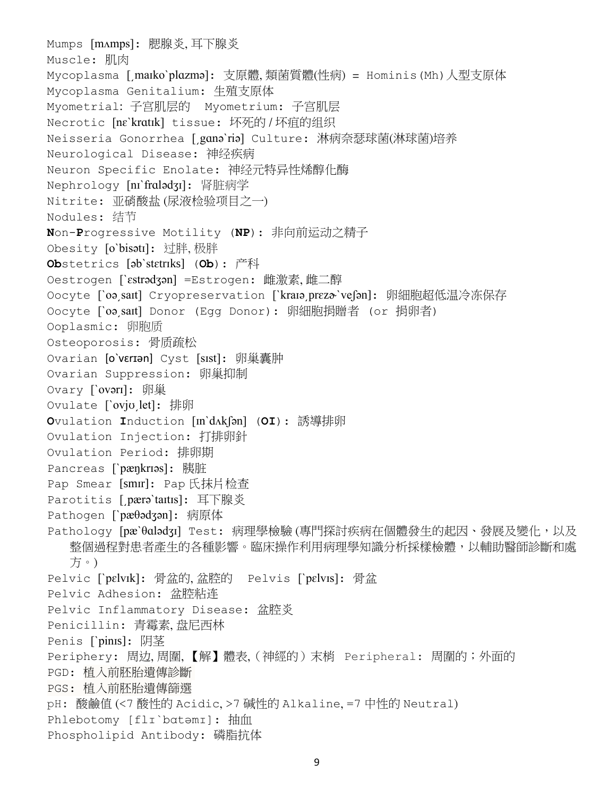Mumps [mʌmps]: 腮腺炎, 耳下腺炎 Muscle: 肌肉 Mycoplasma [͵maɪkoˋplɑzmə]: 支原體, 類菌質體(性病) = Hominis(Mh)人型支原体 Mycoplasma Genitalium: 生殖支原体 Myometrial: 子宫肌层的 Myometrium: 子宫肌层 Necrotic [nɛˋkrɑtɪk] tissue: 坏死的 / 坏疽的组织 Neisseria Gonorrhea [ gɑnə`riə] Culture: 淋病奈瑟球菌(淋球菌)培养 Neurological Disease: 神经疾病 Neuron Specific Enolate: 神经元特异性烯醇化酶 Nephrology [nɪˋfrɑlədʒɪ]: 肾脏病学 Nitrite: 亚硝酸盐 (尿液检验项目之一) Nodules: 结节 **N**on-**P**rogressive Motility (**NP**): 非向前运动之精子 Obesity [oˋbisətɪ]: 过胖, 极胖 **Ob**stetrics [əbˋstɛtrɪks] (**Ob**): 产科 Oestrogen [`ɛstrədʒən] =Estrogen: 雌激素,雌二醇 Oocyte [`oəˌsaɪt] Cryopreservation [`kraɪəˌprɛzə`veʃən]: 卵細胞超低温冷冻保存 Oocyte [ˋoə͵saɪt] Donor (Egg Donor): 卵細胞捐贈者 (or 捐卵者) Ooplasmic: 卵胞质 Osteoporosis: 骨质疏松 Ovarian [o`vɛrɪən] Cyst [sɪst]: 卵巢囊肿 Ovarian Suppression: 卵巢抑制 Ovary [ˋovərɪ]: 卵巢 Ovulate [`ovju let]: 排卵 **O**vulation **I**nduction [ɪnˋdʌkʃən] (**OI**): 誘導排卵 Ovulation Injection: 打排卵針 Ovulation Period: 排卵期 Pancreas [ˋpæŋkrɪəs]: 胰脏 Pap Smear [smɪr]: Pap 氏抹片检查 Parotitis [pærə`taɪtɪs]: 耳下腺炎 Pathogen [ˋpæθədʒən]: 病原体 Pathology [pæ`θɑlədʒɪ] Test: 病理學檢驗 (專門探討疾病[在個體發](https://zh.wikipedia.org/wiki/%E5%80%8B%E9%AB%94)生的起因、發展及變化,以及 整個過程對患者產生的各種影響[。臨床操](https://zh.wikipedia.org/w/index.php?title=%E8%87%A8%E5%BA%8A&action=edit&redlink=1)作利用病理學知識分[析採樣](https://zh.wikipedia.org/wiki/%E9%87%87%E6%A0%B7)[檢體,](https://zh.wikipedia.org/w/index.php?title=%E6%AA%A2%E9%AB%94&action=edit&redlink=1)以輔[助醫師](https://zh.wikipedia.org/wiki/%E9%86%AB%E5%B8%AB)[診斷和](https://zh.wikipedia.org/wiki/%E8%A8%BA%E6%96%B7)[處](https://zh.wikipedia.org/wiki/%E5%A4%84%E6%96%B9) [方。](https://zh.wikipedia.org/wiki/%E5%A4%84%E6%96%B9)) Pelvic [`pɛlvɪk]: 骨盆的,盆腔的 Pelvis [`pɛlvɪs]: 骨盆 Pelvic Adhesion: 盆腔粘连 Pelvic Inflammatory Disease: 盆腔炎 Penicillin: 青霉素, 盘尼西林 Penis [ˋpinɪs]: 阴茎 Periphery: 周边, 周圍, 【解】體表, (神經的) 末梢 Peripheral: 周圍的; 外面的 PGD: 植入前胚胎遺傳診斷 PGS: 植入前胚胎遺傳篩選 pH: 酸鹼值 (<7 酸性的 Acidic, >7 碱性的 Alkaline, =7 [中性的](http://zh.wikipedia.org/wiki/%E4%B8%AD%E6%80%A7) Neutral) Phlebotomy [flɪ`bɑtəmɪ]: 抽血 Phospholipid Antibody: 磷脂抗体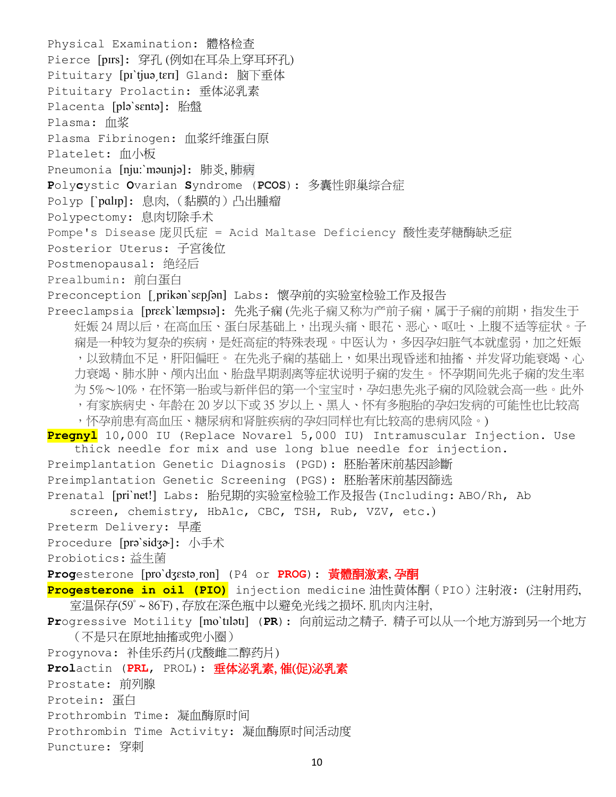```
Physical Examination: 體格检查
Pierce [pɪrs]: 穿孔 (例如在耳朵上穿耳环孔)
Pituitary [pi`tjuə tɛrɪ] Gland: 脑下垂体
Pituitary Prolactin: 垂体泌乳素
Placenta [pləˋsɛntə]: 胎盤
Plasma: 血浆
Plasma Fibrinogen: 血浆纤维蛋白原
Platelet: 血小板
Pneumonia [nju:ˋməunjə]: 肺炎, 肺病
Polycystic Ovarian Syndrome (PCOS): 多囊性卵巢综合症
Polyp [`palip]: 息肉, (黏膜的)凸出腫瘤
Polypectomy: 息肉切除手术
Pompe's Disease 庞贝氏症 = Acid Maltase Deficiency 酸性麦芽糖酶缺乏症
Posterior Uterus: 子宮後位
Postmenopausal: 绝经后
Prealbumin: 前白蛋白
Preconception [prikan`sɛpʃən] Labs: 懷孕前的实验室检验工作及报告
兆子痫又称为产前子痫,属于子痫的前期,指发生于
   高血压、蛋白尿基础上,出现头痛、眼花、恶心、呕吐、上腹不适等症状。子
   是妊高症的特殊表现。中医认为,多因孕妇脏气本就虚弱,加之妊娠
   ,以致精血不足,肝阳偏旺。 在先兆子痫的基础上,如果出现昏迷和抽搐、并发肾功能衰竭、心
   力衰竭、肺水肿、颅内出血、胎盘早期剥离等症状说明子痫的发生。 怀孕期间先兆子痫的发生率
   为 5%~10%,在怀第一胎或与新伴侣的第一个宝宝时,孕妇患先兆子痫的风险就会高一些。此外
   ,有家族病史、年龄在 20 岁以下或 35 岁以上、黑人、怀有多胞胎的孕妇发病的可能性也比较高
   ,怀孕前患有高血压、糖尿病和肾脏疾病的孕妇同样也有比较高的患病风险。)
Pregnyl 10,000 IU (Replace Novarel 5,000 IU) Intramuscular Injection. Use 
   thick needle for mix and use long blue needle for injection.
Preimplantation Genetic Diagnosis (PGD): 胚胎著床前基因診斷
Preimplantation Genetic Screening (PGS): 胚胎著床前基因篩选
Prenatal [priˋnet!] Labs: 胎兒期的实验室检验工作及报告 (Including: ABO/Rh, Ab 
  screen, chemistry, HbA1c, CBC, TSH, Rub, VZV, etc.)
Preterm Delivery: 早產
Procedure [prəˋsidʒɚ]: 小手术
Probiotics: 益生菌
Progesterone [proˋdʒɛstə͵ron] (P4 or PROG): 黃體酮激素, 孕酮 
Progesterone in oil (PIO) injection medicine 油性黄体酮(PIO)注射液: (注射用药,
  室温保存(59° ~ 86°F) , 存放在深色瓶中以避免光线之损坏. 肌肉内注射, 
Progressive Motility [moˋtɪlətɪ] (PR): 向前运动之精子. 精子可以从一个地方游到另一个地方
   (不是只在原地抽搐或兜小圈)
Progynova: 补佳乐药片(戊酸雌二醇药片)
Prolactin (PRL, PROL): 垂体泌乳素, 催(促)泌乳素
Prostate: 前列腺
Protein: 蛋白
Prothrombin Time: 凝血酶原时间
Prothrombin Time Activity: 凝血酶原时间活动度
Puncture: 穿刺
```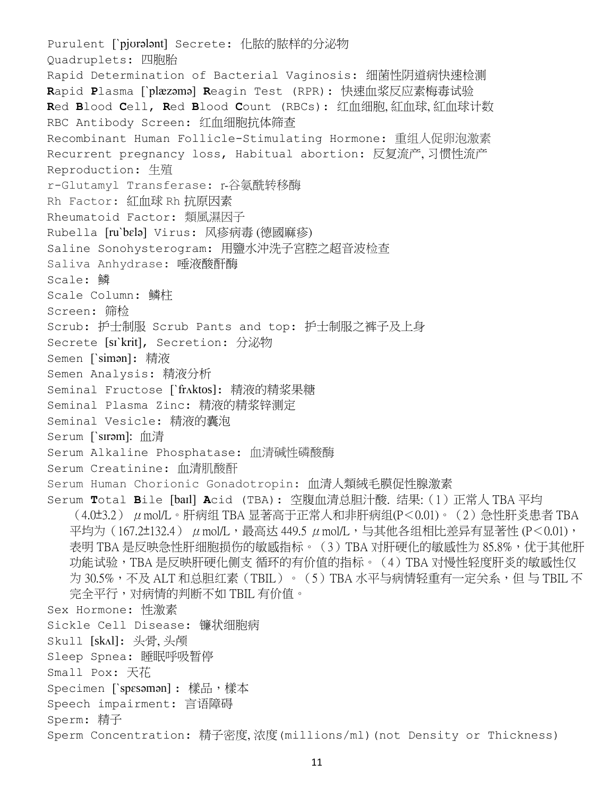Purulent [ˋpjʊrələnt] Secrete: 化脓的脓样的分泌物 Quadruplets: 四胞胎 Rapid Determination of Bacterial Vaginosis: 细菌性阴道病快速检测 **R**apid **P**lasma [ˋplæzəmə] **R**eagin Test (RPR): 快速血浆反应素梅毒试验 **R**ed **B**lood **C**ell, **R**ed **B**lood **C**ount (RBCs): 红血细胞, 紅血球, 紅血球计数 RBC Antibody Screen: 红血细胞抗体筛查 Recombinant Human Follicle-Stimulating Hormone: 重组人促卵泡激素 Recurrent pregnancy loss, Habitual abortion: 反复流产, 习惯性流产 Reproduction: 生殖 r-Glutamyl Transferase: r-谷氨酰转移酶 Rh Factor: 紅血球 Rh 抗原因素 Rheumatoid Factor: 類風濕因子 Rubella [ruˋbɛlə] Virus: 风疹病毒 (德國麻疹) Saline Sonohysterogram: 用鹽水沖洗子宮腔之超音波检查 Saliva Anhydrase: 唾液酸酐酶 Scale: 鳞 Scale Column: 鳞柱 Screen: 筛检 Scrub: 护士制服 Scrub Pants and top: 护士制服之裤子及上身 Secrete [sɪˋkrit], Secretion: 分泌物 Semen [ˋsimən]: 精液 Semen Analysis: 精液分析 Seminal Fructose [ˋfrʌktos]: 精液的精浆果糖 Seminal Plasma Zinc: 精液的精浆锌测定 Seminal Vesicle: 精液的囊泡 Serum [ˋsɪrəm]: 血清 Serum Alkaline Phosphatase: 血清碱性磷酸酶 Serum Creatinine: 血清肌酸酐 Serum Human Chorionic Gonadotropin: 血清人類絨毛膜促性腺激素 Serum **T**otal **B**ile [baɪl] **A**cid (TBA): 空腹血清总胆汁酸. 结果:(1)正常人 TBA 平均  $(4.0\pm3.2)$   $\mu$  mol/L。肝病组 TBA 显著高于正常人和非肝病组 $(P<0.01)$ 。 $(2)$  急性肝炎患者 TBA 平均为 $(167.2 \pm 132.4)$   $\mu$  mol/L,最高达 449.5  $\mu$  mol/L,与其他各组相比差异有显著性 (P<0.01), 表明 TBA 是反映急性肝细胞损伤的敏感指标。 (3) TBA 对肝硬化的敏感性为 85.8%,优于其他肝 功能试验,TBA 是反映肝硬化侧支 循环的有价值的指标。(4)TBA 对慢性轻度肝炎的敏感性仅 为 30.5%,不及 ALT 和总胆红素(TBIL)。(5)TBA 水平与病情轻重有一定关系,但 与 TBIL 不 完全平行,对病情的判断不如 TBIL 有价值。 Sex Hormone: 性激素 Sickle Cell Disease: 镰状细胞病 Skull [skʌl]: 头骨, 头颅 Sleep Spnea: 睡眠呼吸暂停 Small Pox: 天花 Specimen [`spɛsəmən] : 樣品,樣本 Speech impairment: 言语障碍 Sperm: 精子 Sperm Concentration: 精子密度, 浓度(millions/ml)(not Density or Thickness)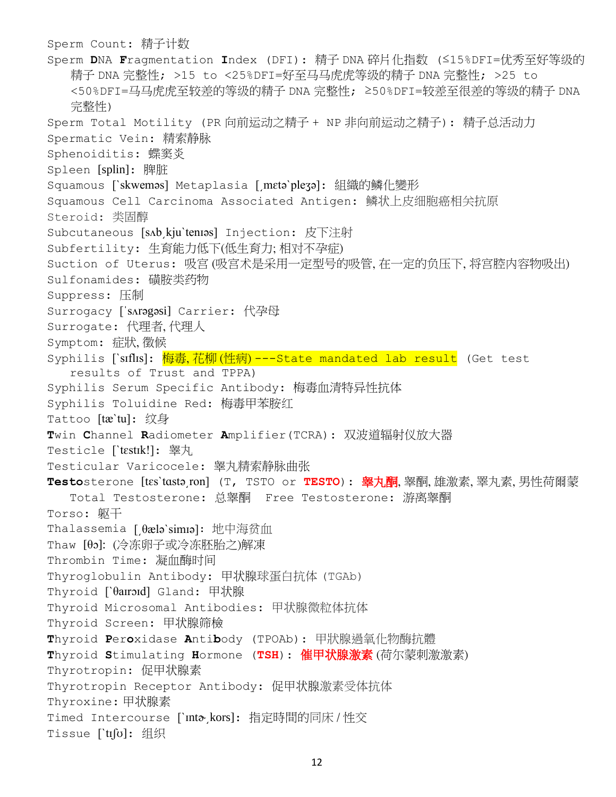Sperm Count: 精子计数 Sperm **D**NA **F**ragmentation **I**ndex (DFI): 精子 DNA 碎片化指数 (≤15%DFI=优秀至好等级的 精子 DNA 完整性; >15 to <25%DFI=好至马马虎虎等级的精子 DNA 完整性; >25 to <50%DFI=马马虎虎至较差的等级的精子 DNA 完整性; ≥50%DFI=较差至很差的等级的精子 DNA 完整性) Sperm Total Motility (PR 向前运动之精子 + NP 非向前运动之精子): 精子总活动力 Spermatic Vein: 精索静脉 Sphenoiditis: 蝶窦炎 Spleen [splin]: 脾脏 Squamous [ˋskweməs] Metaplasia [͵mɛtəˋpleʒə]: 組織的鳞化變形 Squamous Cell Carcinoma Associated Antigen: 鳞状上皮细胞癌相关抗原 Steroid: 类固醇 Subcutaneous [sʌb͵kjuˋtenɪəs] Injection: 皮下注射 Subfertility: 生育能力低下(低生育力;相对不孕症) Suction of Uterus: 吸宫(吸宫术是采用一定型号的吸管,在一定的负压下,将宫腔内容物吸出) Sulfonamides: 磺胺类药物 Suppress: 压制 Surrogacy [ˈsʌrəgəsi] Carrier: 代孕母 Surrogate: 代理者, 代理人 Symptom: 症狀, 徵候 Syphilis [`sɪflɪs]: <mark>梅毒,花柳(性病)---State mandated lab result</mark> (Get test results of Trust and TPPA) Syphilis Serum Specific Antibody: 梅毒血清特异性抗体 Syphilis Toluidine Red: 梅毒甲苯胺红 Tattoo [tæˋtu]: 纹身 **T**win **C**hannel **R**adiometer **A**mplifier(TCRA): 双波道辐射仪放大器 Testicle [`tɛstɪk!]: 睾丸 Testicular Varicocele: 睾丸精索静脉曲张 **Testo**sterone [tɛsˋtɑstə͵ron] (T, TSTO or **TESTO**): 睾丸酮, 睾酮, 雄激素, 睪丸素, 男性荷爾蒙 Total Testosterone: 总睾酮 Free Testosterone: 游离睾酮 Torso: 躯干 Thalassemia [θælə`simɪə]: 地中海贫血 Thaw [θɔ]: (冷冻卵子或冷冻胚胎之)解凍 Thrombin Time: 凝血酶时间 Thyroglobulin Antibody: 甲状腺球蛋白抗体 (TGAb) Thyroid [ˋθaɪrɔɪd] Gland: 甲状腺 Thyroid Microsomal Antibodies: 甲状腺微粒体抗体 Thyroid Screen: 甲状腺筛檢 **T**hyroid **P**er**o**xidase **A**nti**b**ody (TPOAb): 甲狀腺過氧化物酶抗體 **T**hyroid **S**timulating **H**ormone (**TSH**): 催甲状腺激素 (荷尔蒙刺激激素) Thyrotropin: 促甲状腺素 Thyrotropin Receptor Antibody: 促甲状腺激素受体抗体 Thyroxine: 甲状腺素 Timed Intercourse [ˋɪntɚ͵kors]: 指定時間的同床 / 性交 Tissue [ˋtɪʃʊ]: 组织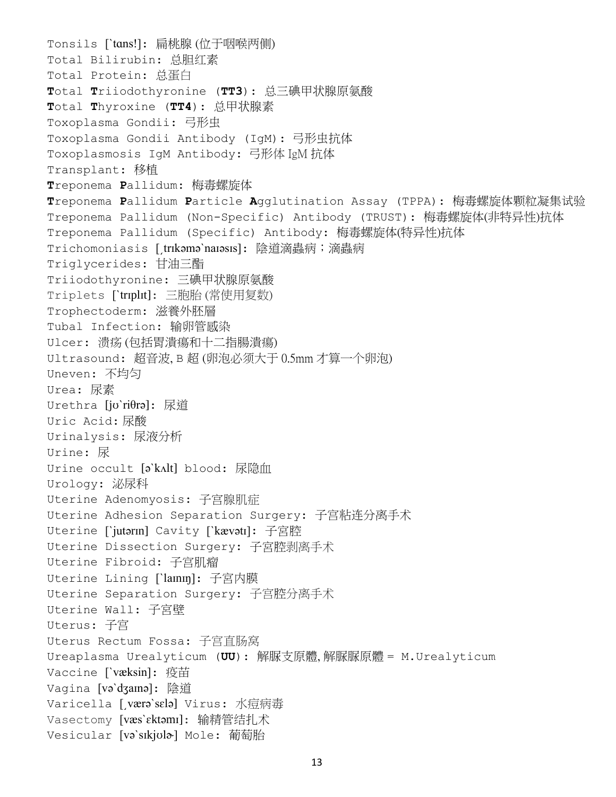```
Tonsils [`tans!]: 扁桃腺 (位于咽喉两侧)
Total Bilirubin: 总胆红素
Total Protein: 总蛋白
Total Triiodothyronine (TT3): 总三碘甲状腺原氨酸
Total Thyroxine (TT4): 总甲状腺素
Toxoplasma Gondii: 弓形虫
Toxoplasma Gondii Antibody (IgM): 弓形虫抗体
Toxoplasmosis IgM Antibody: 弓形体 IgM 抗体
Transplant: 移植
Treponema Pallidum: 梅毒螺旋体
Treponema Pallidum Particle Agglutination Assay (TPPA): 梅毒螺旋体颗粒凝集试验
Treponema Pallidum (Non-Specific) Antibody (TRUST): 梅毒螺旋体(非特异性)抗体
Treponema Pallidum (Specific) Antibody: 梅毒螺旋体(特异性)抗体
Trichomoniasis [trɪkəmə`naɪəsɪs]: 陰道滴蟲病;滴蟲病
Triglycerides: 甘油三酯
Triiodothyronine: 三碘甲状腺原氨酸
Triplets [`triplit]: 三胞胎(常使用复数)
Trophectoderm: 滋養外胚層
Tubal Infection: 输卵管感染
Ulcer: 溃疡 (包括胃潰瘍和十二指腸潰瘍)
Ultrasound: 超音波, B 超 (卵泡必须大于 0.5mm 才算一个卵泡)
Uneven: 不均匀
Urea: 尿素
Urethra [jʊˋriθrə]: 尿道
Uric Acid: 尿酸
Urinalysis: 尿液分析
Urine: 尿
Urine occult [ə`kʌlt] blood: 尿隐血
Urology: 泌尿科
Uterine Adenomyosis: 子宫腺肌症
Uterine Adhesion Separation Surgery: 子宫粘连分离手术
Uterine [`jutərɪn] Cavity [`kævətɪ]: 子宮腔
Uterine Dissection Surgery: 子宮腔剥离手术
Uterine Fibroid: 子宫肌瘤
Uterine Lining [`lamm]: 子宮内膜
Uterine Separation Surgery: 子宫腔分离手术
Uterine Wall: 子宮壁
Uterus: 子宫
Uterus Rectum Fossa: 子宫直肠窝
Ureaplasma Urealyticum (UU): 解脲支原體, 解脲脲原體 = M.Urealyticum
Vaccine ['væksin]: 疫苗
Vagina [vəˋdʒaɪnə]: 陰道
Varicella [ˌværə`sɛlə] Virus: 水痘病毒
Vasectomy [væsˋɛktəmɪ]: 输精管结扎术
Vesicular [və`sɪkjʊla] Mole: 葡萄胎
```